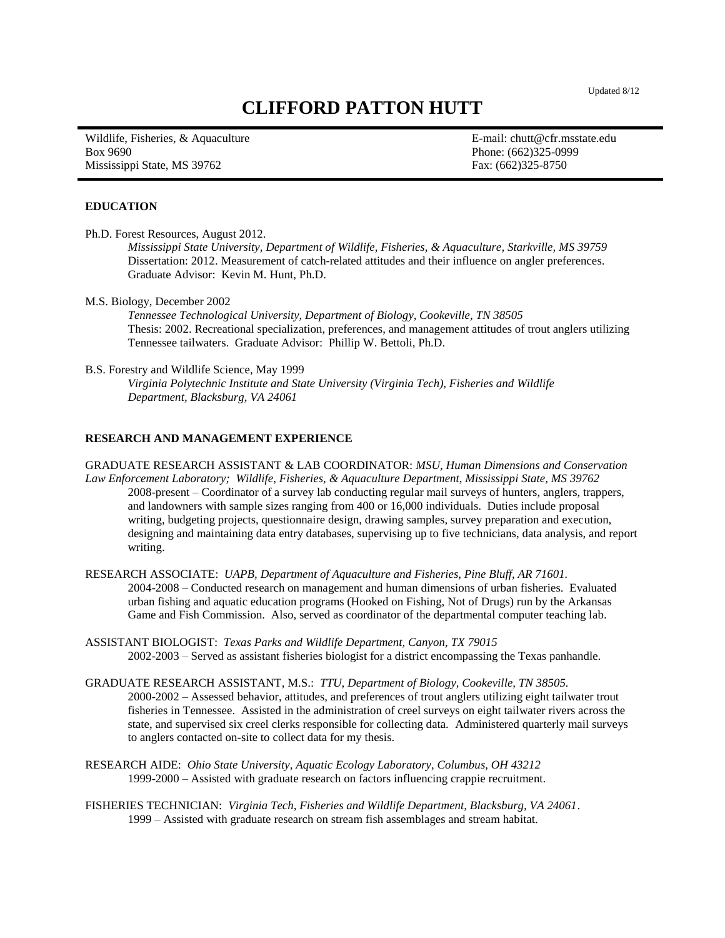# **CLIFFORD PATTON HUTT**

Wildlife, Fisheries, & Aquaculture **E-mail: chutt@cfr.msstate.edu** Box 9690 Phone: (662)325-0999 Mississippi State, MS 39762 Fax: (662)325-8750

#### **EDUCATION**

Ph.D. Forest Resources, August 2012.

*Mississippi State University, Department of Wildlife, Fisheries, & Aquaculture, Starkville, MS 39759* Dissertation: 2012. Measurement of catch-related attitudes and their influence on angler preferences. Graduate Advisor: Kevin M. Hunt, Ph.D.

M.S. Biology, December 2002

*Tennessee Technological University, Department of Biology, Cookeville, TN 38505* Thesis: 2002. Recreational specialization, preferences, and management attitudes of trout anglers utilizing Tennessee tailwaters. Graduate Advisor: Phillip W. Bettoli, Ph.D.

B.S. Forestry and Wildlife Science, May 1999

*Virginia Polytechnic Institute and State University (Virginia Tech), Fisheries and Wildlife Department, Blacksburg, VA 24061* 

## **RESEARCH AND MANAGEMENT EXPERIENCE**

GRADUATE RESEARCH ASSISTANT & LAB COORDINATOR: *MSU, Human Dimensions and Conservation Law Enforcement Laboratory; Wildlife, Fisheries, & Aquaculture Department, Mississippi State, MS 39762* 2008-present – Coordinator of a survey lab conducting regular mail surveys of hunters, anglers, trappers, and landowners with sample sizes ranging from 400 or 16,000 individuals. Duties include proposal writing, budgeting projects, questionnaire design, drawing samples, survey preparation and execution, designing and maintaining data entry databases, supervising up to five technicians, data analysis, and report writing.

RESEARCH ASSOCIATE: *UAPB, Department of Aquaculture and Fisheries, Pine Bluff, AR 71601.* 2004-2008 – Conducted research on management and human dimensions of urban fisheries. Evaluated urban fishing and aquatic education programs (Hooked on Fishing, Not of Drugs) run by the Arkansas Game and Fish Commission. Also, served as coordinator of the departmental computer teaching lab.

ASSISTANT BIOLOGIST: *Texas Parks and Wildlife Department, Canyon, TX 79015* 2002-2003 – Served as assistant fisheries biologist for a district encompassing the Texas panhandle.

GRADUATE RESEARCH ASSISTANT, M.S.: *TTU, Department of Biology, Cookeville, TN 38505.* 2000-2002 – Assessed behavior, attitudes, and preferences of trout anglers utilizing eight tailwater trout fisheries in Tennessee. Assisted in the administration of creel surveys on eight tailwater rivers across the state, and supervised six creel clerks responsible for collecting data. Administered quarterly mail surveys to anglers contacted on-site to collect data for my thesis.

RESEARCH AIDE: *Ohio State University, Aquatic Ecology Laboratory, Columbus, OH 43212* 1999-2000 – Assisted with graduate research on factors influencing crappie recruitment.

FISHERIES TECHNICIAN: *Virginia Tech, Fisheries and Wildlife Department, Blacksburg, VA 24061*. 1999 – Assisted with graduate research on stream fish assemblages and stream habitat.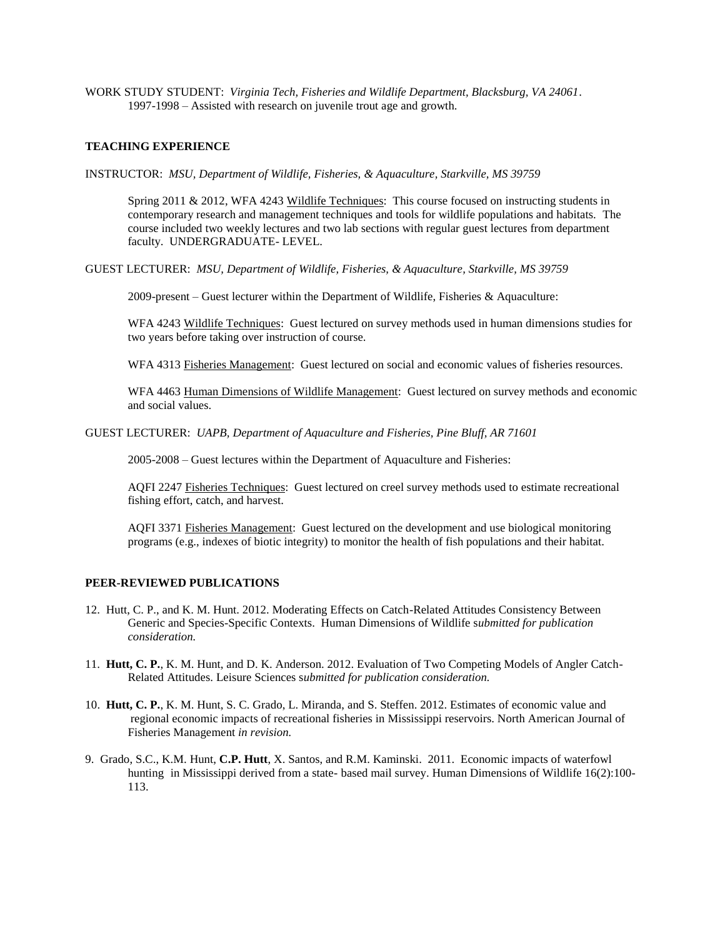WORK STUDY STUDENT: *Virginia Tech, Fisheries and Wildlife Department, Blacksburg, VA 24061*. 1997-1998 – Assisted with research on juvenile trout age and growth.

#### **TEACHING EXPERIENCE**

INSTRUCTOR: *MSU, Department of Wildlife, Fisheries, & Aquaculture, Starkville, MS 39759*

Spring 2011 & 2012, WFA 4243 Wildlife Techniques: This course focused on instructing students in contemporary research and management techniques and tools for wildlife populations and habitats. The course included two weekly lectures and two lab sections with regular guest lectures from department faculty. UNDERGRADUATE- LEVEL.

GUEST LECTURER: *MSU, Department of Wildlife, Fisheries, & Aquaculture, Starkville, MS 39759*

2009-present – Guest lecturer within the Department of Wildlife, Fisheries & Aquaculture:

WFA 4243 Wildlife Techniques: Guest lectured on survey methods used in human dimensions studies for two years before taking over instruction of course.

WFA 4313 Fisheries Management: Guest lectured on social and economic values of fisheries resources.

WFA 4463 Human Dimensions of Wildlife Management: Guest lectured on survey methods and economic and social values.

GUEST LECTURER: *UAPB, Department of Aquaculture and Fisheries, Pine Bluff, AR 71601*

2005-2008 – Guest lectures within the Department of Aquaculture and Fisheries:

AQFI 2247 Fisheries Techniques: Guest lectured on creel survey methods used to estimate recreational fishing effort, catch, and harvest.

AQFI 3371 Fisheries Management: Guest lectured on the development and use biological monitoring programs (e.g., indexes of biotic integrity) to monitor the health of fish populations and their habitat.

## **PEER-REVIEWED PUBLICATIONS**

- 12. Hutt, C. P., and K. M. Hunt. 2012. Moderating Effects on Catch-Related Attitudes Consistency Between Generic and Species-Specific Contexts. Human Dimensions of Wildlife s*ubmitted for publication consideration.*
- 11. **Hutt, C. P.**, K. M. Hunt, and D. K. Anderson. 2012. Evaluation of Two Competing Models of Angler Catch-Related Attitudes. Leisure Sciences s*ubmitted for publication consideration.*
- 10. **Hutt, C. P.**, K. M. Hunt, S. C. Grado, L. Miranda, and S. Steffen. 2012. Estimates of economic value and regional economic impacts of recreational fisheries in Mississippi reservoirs. North American Journal of Fisheries Management *in revision.*
- 9. Grado, S.C., K.M. Hunt, **C.P. Hutt**, X. Santos, and R.M. Kaminski. 2011. Economic impacts of waterfowl hunting in Mississippi derived from a state- based mail survey. Human Dimensions of Wildlife 16(2):100- 113.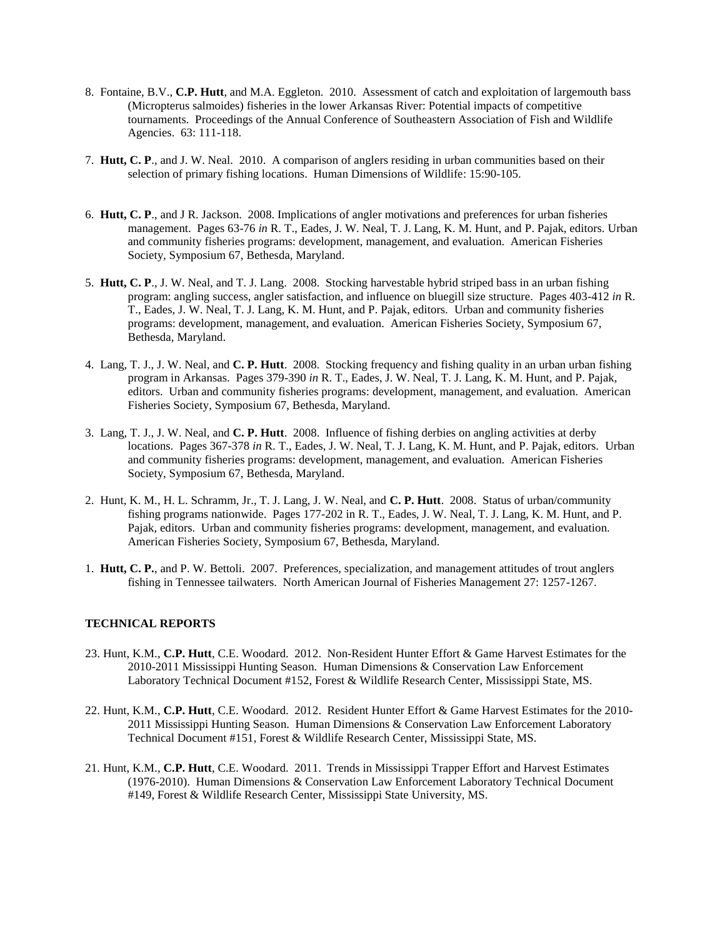- 8. Fontaine, B.V., **C.P. Hutt**, and M.A. Eggleton. 2010. Assessment of catch and exploitation of largemouth bass (Micropterus salmoides) fisheries in the lower Arkansas River: Potential impacts of competitive tournaments. Proceedings of the Annual Conference of Southeastern Association of Fish and Wildlife Agencies. 63: 111-118.
- 7. **Hutt, C. P**., and J. W. Neal. 2010. A comparison of anglers residing in urban communities based on their selection of primary fishing locations. Human Dimensions of Wildlife: 15:90-105.
- 6. **Hutt, C. P**., and J R. Jackson. 2008. Implications of angler motivations and preferences for urban fisheries management. Pages 63-76 *in* R. T., Eades, J. W. Neal, T. J. Lang, K. M. Hunt, and P. Pajak, editors. Urban and community fisheries programs: development, management, and evaluation. American Fisheries Society, Symposium 67, Bethesda, Maryland.
- 5. **Hutt, C. P**., J. W. Neal, and T. J. Lang. 2008. Stocking harvestable hybrid striped bass in an urban fishing program: angling success, angler satisfaction, and influence on bluegill size structure. Pages 403-412 *in* R. T., Eades, J. W. Neal, T. J. Lang, K. M. Hunt, and P. Pajak, editors. Urban and community fisheries programs: development, management, and evaluation. American Fisheries Society, Symposium 67, Bethesda, Maryland.
- 4. Lang, T. J., J. W. Neal, and **C. P. Hutt**. 2008. Stocking frequency and fishing quality in an urban urban fishing program in Arkansas. Pages 379-390 *in* R. T., Eades, J. W. Neal, T. J. Lang, K. M. Hunt, and P. Pajak, editors. Urban and community fisheries programs: development, management, and evaluation. American Fisheries Society, Symposium 67, Bethesda, Maryland.
- 3. Lang, T. J., J. W. Neal, and **C. P. Hutt**. 2008. Influence of fishing derbies on angling activities at derby locations. Pages 367-378 *in* R. T., Eades, J. W. Neal, T. J. Lang, K. M. Hunt, and P. Pajak, editors. Urban and community fisheries programs: development, management, and evaluation. American Fisheries Society, Symposium 67, Bethesda, Maryland.
- 2. Hunt, K. M., H. L. Schramm, Jr., T. J. Lang, J. W. Neal, and **C. P. Hutt**. 2008. Status of urban/community fishing programs nationwide. Pages 177-202 in R. T., Eades, J. W. Neal, T. J. Lang, K. M. Hunt, and P. Pajak, editors. Urban and community fisheries programs: development, management, and evaluation. American Fisheries Society, Symposium 67, Bethesda, Maryland.
- 1. **Hutt, C. P.**, and P. W. Bettoli. 2007. Preferences, specialization, and management attitudes of trout anglers fishing in Tennessee tailwaters. North American Journal of Fisheries Management 27: 1257-1267.

## **TECHNICAL REPORTS**

- 23. Hunt, K.M., **C.P. Hutt**, C.E. Woodard. 2012. Non-Resident Hunter Effort & Game Harvest Estimates for the 2010-2011 Mississippi Hunting Season. Human Dimensions & Conservation Law Enforcement Laboratory Technical Document #152, Forest & Wildlife Research Center, Mississippi State, MS.
- 22. Hunt, K.M., **C.P. Hutt**, C.E. Woodard. 2012. Resident Hunter Effort & Game Harvest Estimates for the 2010- 2011 Mississippi Hunting Season. Human Dimensions & Conservation Law Enforcement Laboratory Technical Document #151, Forest & Wildlife Research Center, Mississippi State, MS.
- 21. Hunt, K.M., **C.P. Hutt**, C.E. Woodard. 2011. Trends in Mississippi Trapper Effort and Harvest Estimates (1976-2010). Human Dimensions & Conservation Law Enforcement Laboratory Technical Document #149, Forest & Wildlife Research Center, Mississippi State University, MS.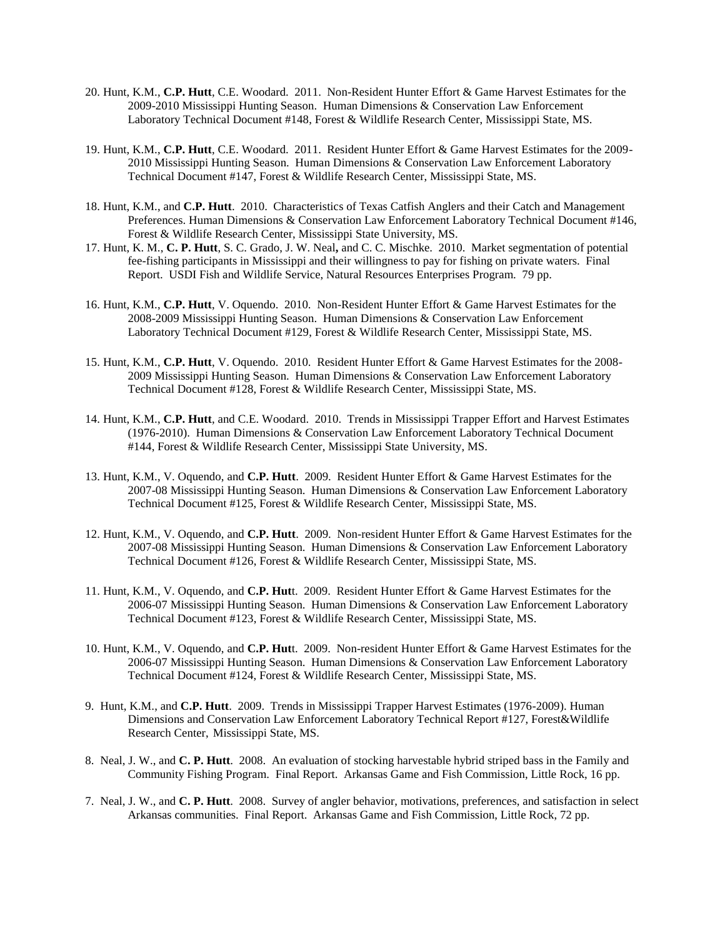- 20. Hunt, K.M., **C.P. Hutt**, C.E. Woodard. 2011. Non-Resident Hunter Effort & Game Harvest Estimates for the 2009-2010 Mississippi Hunting Season. Human Dimensions & Conservation Law Enforcement Laboratory Technical Document #148, Forest & Wildlife Research Center, Mississippi State, MS.
- 19. Hunt, K.M., **C.P. Hutt**, C.E. Woodard. 2011. Resident Hunter Effort & Game Harvest Estimates for the 2009- 2010 Mississippi Hunting Season. Human Dimensions & Conservation Law Enforcement Laboratory Technical Document #147, Forest & Wildlife Research Center, Mississippi State, MS.
- 18. Hunt, K.M., and **C.P. Hutt**. 2010. Characteristics of Texas Catfish Anglers and their Catch and Management Preferences. Human Dimensions & Conservation Law Enforcement Laboratory Technical Document #146, Forest & Wildlife Research Center, Mississippi State University, MS.
- 17. Hunt, K. M., **C. P. Hutt**, S. C. Grado, J. W. Neal**,** and C. C. Mischke. 2010. Market segmentation of potential fee-fishing participants in Mississippi and their willingness to pay for fishing on private waters. Final Report. USDI Fish and Wildlife Service, Natural Resources Enterprises Program. 79 pp.
- 16. Hunt, K.M., **C.P. Hutt**, V. Oquendo. 2010. Non-Resident Hunter Effort & Game Harvest Estimates for the 2008-2009 Mississippi Hunting Season. Human Dimensions & Conservation Law Enforcement Laboratory Technical Document #129, Forest & Wildlife Research Center, Mississippi State, MS.
- 15. Hunt, K.M., **C.P. Hutt**, V. Oquendo. 2010. Resident Hunter Effort & Game Harvest Estimates for the 2008- 2009 Mississippi Hunting Season. Human Dimensions & Conservation Law Enforcement Laboratory Technical Document #128, Forest & Wildlife Research Center, Mississippi State, MS.
- 14. Hunt, K.M., **C.P. Hutt**, and C.E. Woodard. 2010. Trends in Mississippi Trapper Effort and Harvest Estimates (1976-2010). Human Dimensions & Conservation Law Enforcement Laboratory Technical Document #144, Forest & Wildlife Research Center, Mississippi State University, MS.
- 13. Hunt, K.M., V. Oquendo, and **C.P. Hutt**. 2009. Resident Hunter Effort & Game Harvest Estimates for the 2007-08 Mississippi Hunting Season. Human Dimensions & Conservation Law Enforcement Laboratory Technical Document #125, Forest & Wildlife Research Center, Mississippi State, MS.
- 12. Hunt, K.M., V. Oquendo, and **C.P. Hutt**. 2009. Non-resident Hunter Effort & Game Harvest Estimates for the 2007-08 Mississippi Hunting Season. Human Dimensions & Conservation Law Enforcement Laboratory Technical Document #126, Forest & Wildlife Research Center, Mississippi State, MS.
- 11. Hunt, K.M., V. Oquendo, and **C.P. Hut**t. 2009. Resident Hunter Effort & Game Harvest Estimates for the 2006-07 Mississippi Hunting Season. Human Dimensions & Conservation Law Enforcement Laboratory Technical Document #123, Forest & Wildlife Research Center, Mississippi State, MS.
- 10. Hunt, K.M., V. Oquendo, and **C.P. Hut**t. 2009. Non-resident Hunter Effort & Game Harvest Estimates for the 2006-07 Mississippi Hunting Season. Human Dimensions & Conservation Law Enforcement Laboratory Technical Document #124, Forest & Wildlife Research Center, Mississippi State, MS.
- 9. Hunt, K.M., and **C.P. Hutt**. 2009. Trends in Mississippi Trapper Harvest Estimates (1976-2009). Human Dimensions and Conservation Law Enforcement Laboratory Technical Report #127, Forest&Wildlife Research Center, Mississippi State, MS.
- 8. Neal, J. W., and **C. P. Hutt**. 2008. An evaluation of stocking harvestable hybrid striped bass in the Family and Community Fishing Program. Final Report. Arkansas Game and Fish Commission, Little Rock, 16 pp.
- 7. Neal, J. W., and **C. P. Hutt**. 2008. Survey of angler behavior, motivations, preferences, and satisfaction in select Arkansas communities. Final Report. Arkansas Game and Fish Commission, Little Rock, 72 pp.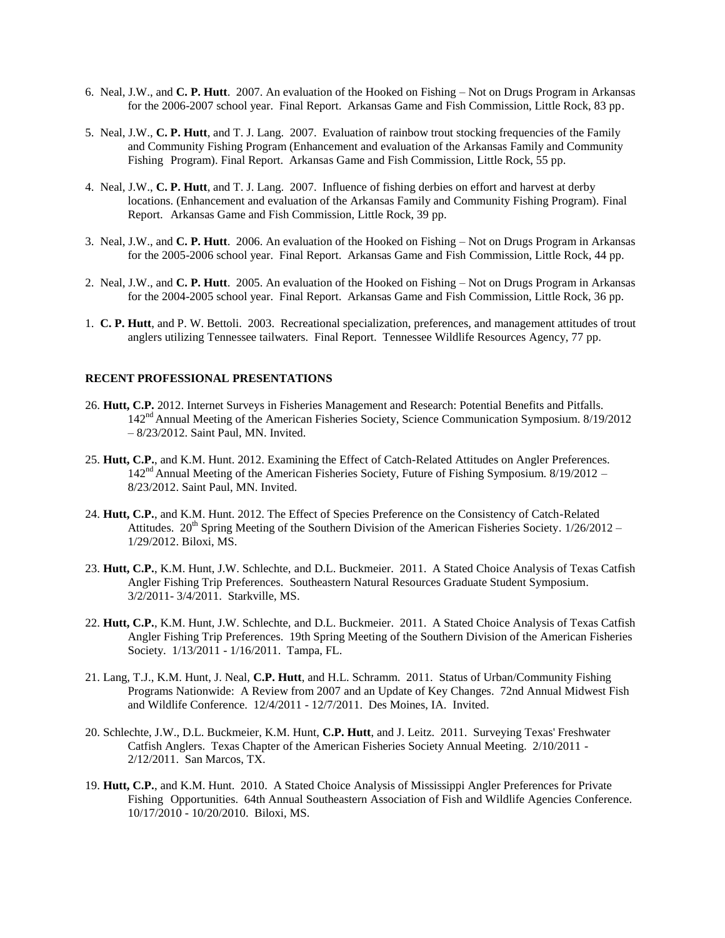- 6. Neal, J.W., and **C. P. Hutt**. 2007. An evaluation of the Hooked on Fishing Not on Drugs Program in Arkansas for the 2006-2007 school year. Final Report. Arkansas Game and Fish Commission, Little Rock, 83 pp.
- 5. Neal, J.W., **C. P. Hutt**, and T. J. Lang. 2007. Evaluation of rainbow trout stocking frequencies of the Family and Community Fishing Program (Enhancement and evaluation of the Arkansas Family and Community Fishing Program). Final Report. Arkansas Game and Fish Commission, Little Rock, 55 pp.
- 4. Neal, J.W., **C. P. Hutt**, and T. J. Lang. 2007. Influence of fishing derbies on effort and harvest at derby locations. (Enhancement and evaluation of the Arkansas Family and Community Fishing Program). Final Report. Arkansas Game and Fish Commission, Little Rock, 39 pp.
- 3. Neal, J.W., and **C. P. Hutt**. 2006. An evaluation of the Hooked on Fishing Not on Drugs Program in Arkansas for the 2005-2006 school year. Final Report. Arkansas Game and Fish Commission, Little Rock, 44 pp.
- 2. Neal, J.W., and **C. P. Hutt**. 2005. An evaluation of the Hooked on Fishing Not on Drugs Program in Arkansas for the 2004-2005 school year. Final Report. Arkansas Game and Fish Commission, Little Rock, 36 pp.
- 1. **C. P. Hutt**, and P. W. Bettoli. 2003. Recreational specialization, preferences, and management attitudes of trout anglers utilizing Tennessee tailwaters. Final Report. Tennessee Wildlife Resources Agency, 77 pp.

## **RECENT PROFESSIONAL PRESENTATIONS**

- 26. **Hutt, C.P.** 2012. Internet Surveys in Fisheries Management and Research: Potential Benefits and Pitfalls. 142nd Annual Meeting of the American Fisheries Society, Science Communication Symposium. 8/19/2012 – 8/23/2012. Saint Paul, MN. Invited.
- 25. **Hutt, C.P.**, and K.M. Hunt. 2012. Examining the Effect of Catch-Related Attitudes on Angler Preferences. 142nd Annual Meeting of the American Fisheries Society, Future of Fishing Symposium. 8/19/2012 – 8/23/2012. Saint Paul, MN. Invited.
- 24. **Hutt, C.P.**, and K.M. Hunt. 2012. The Effect of Species Preference on the Consistency of Catch-Related Attitudes. 20<sup>th</sup> Spring Meeting of the Southern Division of the American Fisheries Society.  $1/26/2012 -$ 1/29/2012. Biloxi, MS.
- 23. **Hutt, C.P.**, K.M. Hunt, J.W. Schlechte, and D.L. Buckmeier. 2011. A Stated Choice Analysis of Texas Catfish Angler Fishing Trip Preferences. Southeastern Natural Resources Graduate Student Symposium. 3/2/2011- 3/4/2011. Starkville, MS.
- 22. **Hutt, C.P.**, K.M. Hunt, J.W. Schlechte, and D.L. Buckmeier. 2011. A Stated Choice Analysis of Texas Catfish Angler Fishing Trip Preferences. 19th Spring Meeting of the Southern Division of the American Fisheries Society. 1/13/2011 - 1/16/2011. Tampa, FL.
- 21. Lang, T.J., K.M. Hunt, J. Neal, **C.P. Hutt**, and H.L. Schramm. 2011. Status of Urban/Community Fishing Programs Nationwide: A Review from 2007 and an Update of Key Changes. 72nd Annual Midwest Fish and Wildlife Conference. 12/4/2011 - 12/7/2011. Des Moines, IA. Invited.
- 20. Schlechte, J.W., D.L. Buckmeier, K.M. Hunt, **C.P. Hutt**, and J. Leitz. 2011. Surveying Texas' Freshwater Catfish Anglers. Texas Chapter of the American Fisheries Society Annual Meeting. 2/10/2011 - 2/12/2011. San Marcos, TX.
- 19. **Hutt, C.P.**, and K.M. Hunt. 2010. A Stated Choice Analysis of Mississippi Angler Preferences for Private Fishing Opportunities. 64th Annual Southeastern Association of Fish and Wildlife Agencies Conference. 10/17/2010 - 10/20/2010. Biloxi, MS.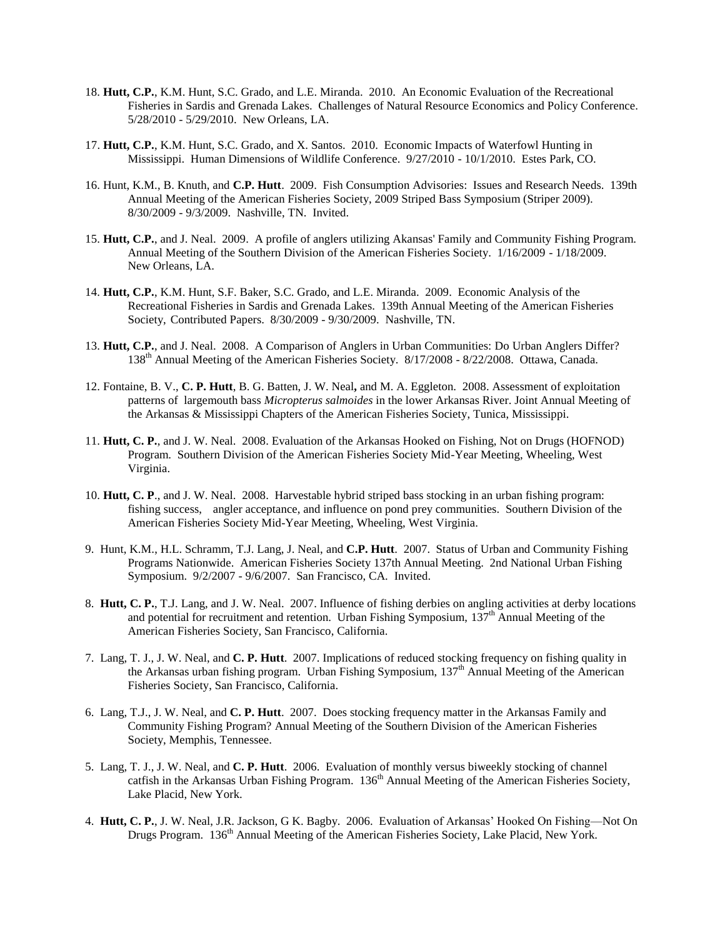- 18. **Hutt, C.P.**, K.M. Hunt, S.C. Grado, and L.E. Miranda. 2010. An Economic Evaluation of the Recreational Fisheries in Sardis and Grenada Lakes. Challenges of Natural Resource Economics and Policy Conference. 5/28/2010 - 5/29/2010. New Orleans, LA.
- 17. **Hutt, C.P.**, K.M. Hunt, S.C. Grado, and X. Santos. 2010. Economic Impacts of Waterfowl Hunting in Mississippi. Human Dimensions of Wildlife Conference. 9/27/2010 - 10/1/2010. Estes Park, CO.
- 16. Hunt, K.M., B. Knuth, and **C.P. Hutt**. 2009. Fish Consumption Advisories: Issues and Research Needs. 139th Annual Meeting of the American Fisheries Society, 2009 Striped Bass Symposium (Striper 2009). 8/30/2009 - 9/3/2009. Nashville, TN. Invited.
- 15. **Hutt, C.P.**, and J. Neal. 2009. A profile of anglers utilizing Akansas' Family and Community Fishing Program. Annual Meeting of the Southern Division of the American Fisheries Society. 1/16/2009 - 1/18/2009. New Orleans, LA.
- 14. **Hutt, C.P.**, K.M. Hunt, S.F. Baker, S.C. Grado, and L.E. Miranda. 2009. Economic Analysis of the Recreational Fisheries in Sardis and Grenada Lakes. 139th Annual Meeting of the American Fisheries Society, Contributed Papers. 8/30/2009 - 9/30/2009. Nashville, TN.
- 13. **Hutt, C.P.**, and J. Neal. 2008. A Comparison of Anglers in Urban Communities: Do Urban Anglers Differ? 138th Annual Meeting of the American Fisheries Society. 8/17/2008 - 8/22/2008. Ottawa, Canada.
- 12. Fontaine, B. V., **C. P. Hutt**, B. G. Batten, J. W. Neal**,** and M. A. Eggleton. 2008. Assessment of exploitation patterns of largemouth bass *Micropterus salmoides* in the lower Arkansas River. Joint Annual Meeting of the Arkansas & Mississippi Chapters of the American Fisheries Society, Tunica, Mississippi.
- 11. **Hutt, C. P.**, and J. W. Neal. 2008. Evaluation of the Arkansas Hooked on Fishing, Not on Drugs (HOFNOD) Program. Southern Division of the American Fisheries Society Mid-Year Meeting, Wheeling, West Virginia.
- 10. **Hutt, C. P**., and J. W. Neal. 2008. Harvestable hybrid striped bass stocking in an urban fishing program: fishing success, angler acceptance, and influence on pond prey communities. Southern Division of the American Fisheries Society Mid-Year Meeting, Wheeling, West Virginia.
- 9. Hunt, K.M., H.L. Schramm, T.J. Lang, J. Neal, and **C.P. Hutt**. 2007. Status of Urban and Community Fishing Programs Nationwide. American Fisheries Society 137th Annual Meeting. 2nd National Urban Fishing Symposium. 9/2/2007 - 9/6/2007. San Francisco, CA. Invited.
- 8. **Hutt, C. P.**, T.J. Lang, and J. W. Neal. 2007. Influence of fishing derbies on angling activities at derby locations and potential for recruitment and retention. Urban Fishing Symposium,  $137<sup>th</sup>$  Annual Meeting of the American Fisheries Society, San Francisco, California.
- 7. Lang, T. J., J. W. Neal, and **C. P. Hutt**. 2007. Implications of reduced stocking frequency on fishing quality in the Arkansas urban fishing program. Urban Fishing Symposium, 137<sup>th</sup> Annual Meeting of the American Fisheries Society, San Francisco, California.
- 6. Lang, T.J., J. W. Neal, and **C. P. Hutt**. 2007. Does stocking frequency matter in the Arkansas Family and Community Fishing Program? Annual Meeting of the Southern Division of the American Fisheries Society, Memphis, Tennessee.
- 5. Lang, T. J., J. W. Neal, and **C. P. Hutt**. 2006. Evaluation of monthly versus biweekly stocking of channel catfish in the Arkansas Urban Fishing Program. 136<sup>th</sup> Annual Meeting of the American Fisheries Society, Lake Placid, New York.
- 4. **Hutt, C. P.**, J. W. Neal, J.R. Jackson, G K. Bagby. 2006. Evaluation of Arkansas' Hooked On Fishing—Not On Drugs Program. 136<sup>th</sup> Annual Meeting of the American Fisheries Society, Lake Placid, New York.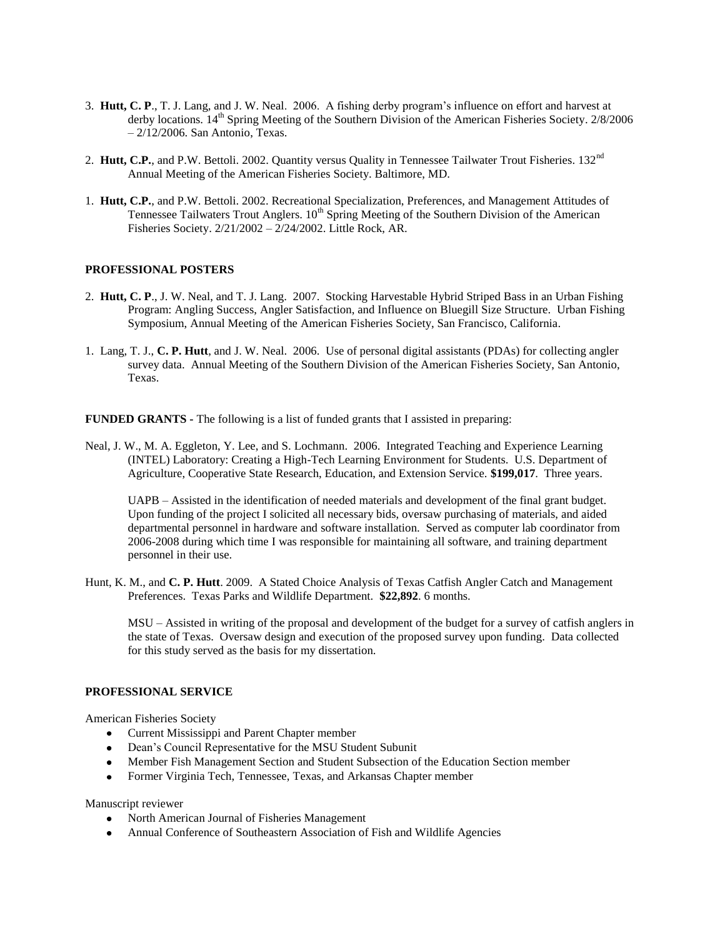- 3. **Hutt, C. P**., T. J. Lang, and J. W. Neal. 2006. A fishing derby program's influence on effort and harvest at derby locations. 14<sup>th</sup> Spring Meeting of the Southern Division of the American Fisheries Society. 2/8/2006 – 2/12/2006. San Antonio, Texas.
- 2. **Hutt, C.P.**, and P.W. Bettoli. 2002. Quantity versus Quality in Tennessee Tailwater Trout Fisheries. 132<sup>nd</sup> Annual Meeting of the American Fisheries Society. Baltimore, MD.
- 1. **Hutt, C.P.**, and P.W. Bettoli. 2002. Recreational Specialization, Preferences, and Management Attitudes of Tennessee Tailwaters Trout Anglers. 10<sup>th</sup> Spring Meeting of the Southern Division of the American Fisheries Society. 2/21/2002 – 2/24/2002. Little Rock, AR.

#### **PROFESSIONAL POSTERS**

- 2. **Hutt, C. P**., J. W. Neal, and T. J. Lang. 2007. Stocking Harvestable Hybrid Striped Bass in an Urban Fishing Program: Angling Success, Angler Satisfaction, and Influence on Bluegill Size Structure. Urban Fishing Symposium, Annual Meeting of the American Fisheries Society, San Francisco, California.
- 1. Lang, T. J., **C. P. Hutt**, and J. W. Neal. 2006. Use of personal digital assistants (PDAs) for collecting angler survey data. Annual Meeting of the Southern Division of the American Fisheries Society, San Antonio, Texas.

**FUNDED GRANTS -** The following is a list of funded grants that I assisted in preparing:

Neal, J. W., M. A. Eggleton, Y. Lee, and S. Lochmann. 2006. Integrated Teaching and Experience Learning (INTEL) Laboratory: Creating a High-Tech Learning Environment for Students. U.S. Department of Agriculture, Cooperative State Research, Education, and Extension Service. **\$199,017**. Three years.

UAPB – Assisted in the identification of needed materials and development of the final grant budget. Upon funding of the project I solicited all necessary bids, oversaw purchasing of materials, and aided departmental personnel in hardware and software installation. Served as computer lab coordinator from 2006-2008 during which time I was responsible for maintaining all software, and training department personnel in their use.

Hunt, K. M., and **C. P. Hutt**. 2009. A Stated Choice Analysis of Texas Catfish Angler Catch and Management Preferences. Texas Parks and Wildlife Department. **\$22,892**. 6 months.

MSU – Assisted in writing of the proposal and development of the budget for a survey of catfish anglers in the state of Texas. Oversaw design and execution of the proposed survey upon funding. Data collected for this study served as the basis for my dissertation.

## **PROFESSIONAL SERVICE**

American Fisheries Society

- Current Mississippi and Parent Chapter member
- Dean's Council Representative for the MSU Student Subunit
- Member Fish Management Section and Student Subsection of the Education Section member
- Former Virginia Tech, Tennessee, Texas, and Arkansas Chapter member

Manuscript reviewer

- North American Journal of Fisheries Management
- Annual Conference of Southeastern Association of Fish and Wildlife Agencies